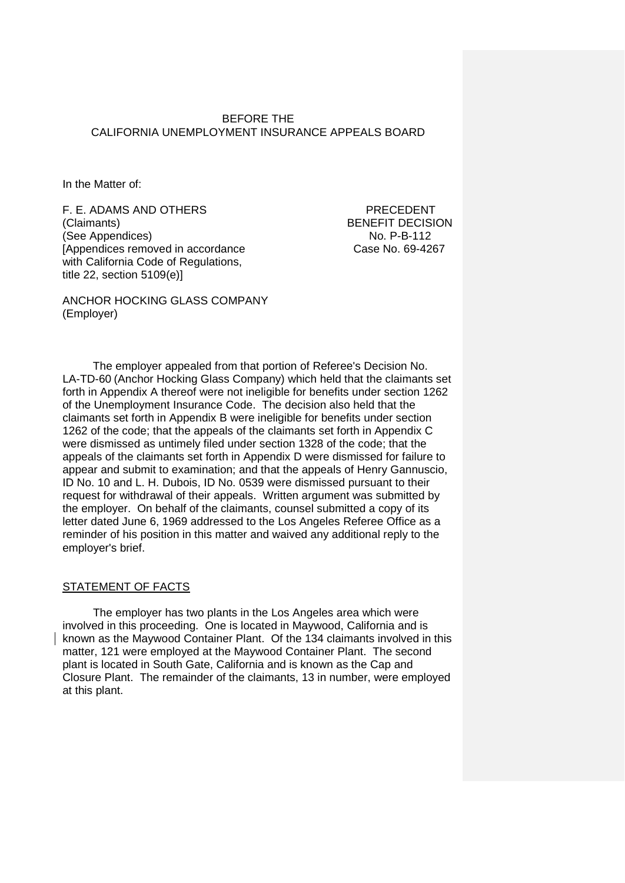## BEFORE THE CALIFORNIA UNEMPLOYMENT INSURANCE APPEALS BOARD

In the Matter of:

F. E. ADAMS AND OTHERS PRECEDENT (Claimants) BENEFIT DECISION<br>
(See Appendices) See Appendices (See Appendices) [Appendices removed in accordance Case No. 69-4267 with California Code of Regulations, title 22, section 5109(e)]

ANCHOR HOCKING GLASS COMPANY (Employer)

The employer appealed from that portion of Referee's Decision No. LA-TD-60 (Anchor Hocking Glass Company) which held that the claimants set forth in Appendix A thereof were not ineligible for benefits under section 1262 of the Unemployment Insurance Code. The decision also held that the claimants set forth in Appendix B were ineligible for benefits under section 1262 of the code; that the appeals of the claimants set forth in Appendix C were dismissed as untimely filed under section 1328 of the code; that the appeals of the claimants set forth in Appendix D were dismissed for failure to appear and submit to examination; and that the appeals of Henry Gannuscio, ID No. 10 and L. H. Dubois, ID No. 0539 were dismissed pursuant to their request for withdrawal of their appeals. Written argument was submitted by the employer. On behalf of the claimants, counsel submitted a copy of its letter dated June 6, 1969 addressed to the Los Angeles Referee Office as a reminder of his position in this matter and waived any additional reply to the employer's brief.

## STATEMENT OF FACTS

The employer has two plants in the Los Angeles area which were involved in this proceeding. One is located in Maywood, California and is known as the Maywood Container Plant. Of the 134 claimants involved in this matter, 121 were employed at the Maywood Container Plant. The second plant is located in South Gate, California and is known as the Cap and Closure Plant. The remainder of the claimants, 13 in number, were employed at this plant.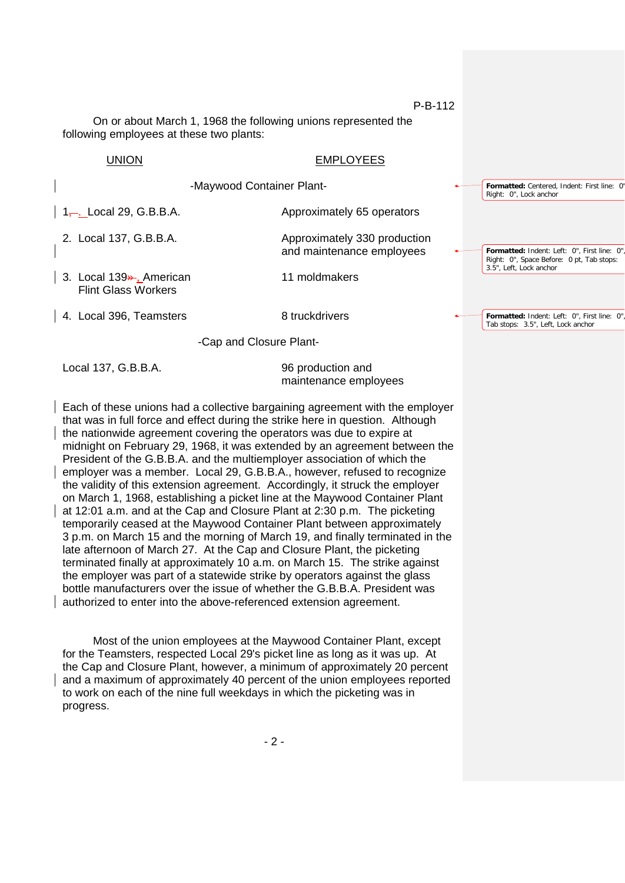**Formatted:** Centered, Indent: First line: 0"

Right: 0", Lock anchor

On or about March 1, 1968 the following unions represented the following employees at these two plants:

# UNION EMPLOYEES

-Maywood Container Plant-

| 1, 2, 1, 29, G.B.B.A.                                              | Approximately 65 operators                                |                                                                                                                      |
|--------------------------------------------------------------------|-----------------------------------------------------------|----------------------------------------------------------------------------------------------------------------------|
| 2. Local 137, G.B.B.A.                                             | Approximately 330 production<br>and maintenance employees | Formatted: Indent: Left: 0", First line: 0",<br>Right: 0", Space Before: 0 pt, Tab stops:<br>3.5", Left, Lock anchor |
| 3. Local 139 <sup>2</sup> , American<br><b>Flint Glass Workers</b> | 11 moldmakers                                             |                                                                                                                      |
| 4. Local 396, Teamsters                                            | 8 truckdrivers                                            | Formatted: Indent: Left: 0", First line: 0",<br>Tab stops: 3.5", Left, Lock anchor                                   |
|                                                                    | -Cap and Closure Plant-                                   |                                                                                                                      |

Local 137, G.B.B.A. 96 production and

maintenance employees

Each of these unions had a collective bargaining agreement with the employer that was in full force and effect during the strike here in question. Although the nationwide agreement covering the operators was due to expire at midnight on February 29, 1968, it was extended by an agreement between the President of the G.B.B.A. and the multiemployer association of which the employer was a member. Local 29, G.B.B.A., however, refused to recognize the validity of this extension agreement. Accordingly, it struck the employer on March 1, 1968, establishing a picket line at the Maywood Container Plant at 12:01 a.m. and at the Cap and Closure Plant at 2:30 p.m. The picketing temporarily ceased at the Maywood Container Plant between approximately 3 p.m. on March 15 and the morning of March 19, and finally terminated in the late afternoon of March 27. At the Cap and Closure Plant, the picketing terminated finally at approximately 10 a.m. on March 15. The strike against the employer was part of a statewide strike by operators against the glass bottle manufacturers over the issue of whether the G.B.B.A. President was authorized to enter into the above-referenced extension agreement.

Most of the union employees at the Maywood Container Plant, except for the Teamsters, respected Local 29's picket line as long as it was up. At the Cap and Closure Plant, however, a minimum of approximately 20 percent and a maximum of approximately 40 percent of the union employees reported to work on each of the nine full weekdays in which the picketing was in progress.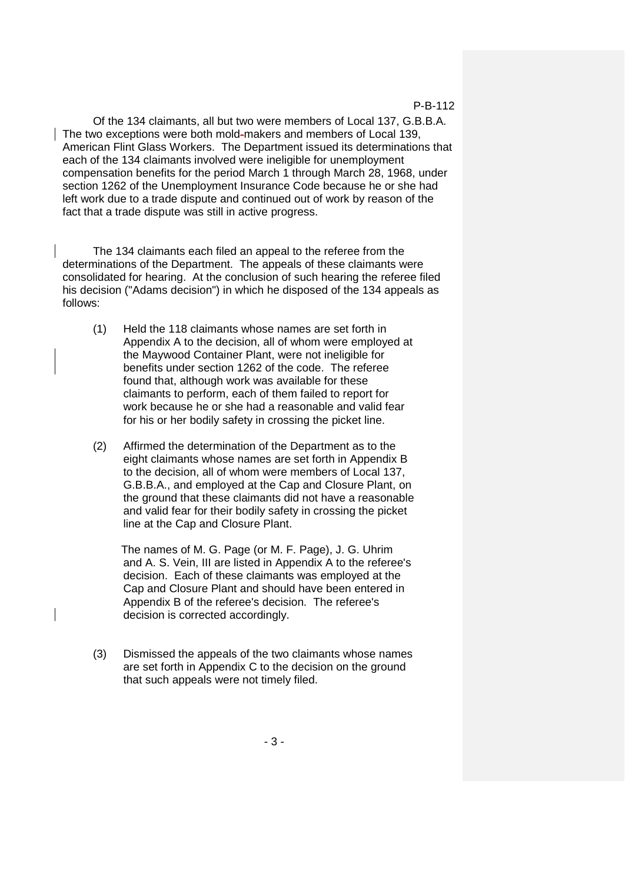Of the 134 claimants, all but two were members of Local 137, G.B.B.A. The two exceptions were both mold-makers and members of Local 139, American Flint Glass Workers. The Department issued its determinations that each of the 134 claimants involved were ineligible for unemployment compensation benefits for the period March 1 through March 28, 1968, under section 1262 of the Unemployment Insurance Code because he or she had left work due to a trade dispute and continued out of work by reason of the fact that a trade dispute was still in active progress.

The 134 claimants each filed an appeal to the referee from the determinations of the Department. The appeals of these claimants were consolidated for hearing. At the conclusion of such hearing the referee filed his decision ("Adams decision") in which he disposed of the 134 appeals as follows:

- (1) Held the 118 claimants whose names are set forth in Appendix A to the decision, all of whom were employed at the Maywood Container Plant, were not ineligible for benefits under section 1262 of the code. The referee found that, although work was available for these claimants to perform, each of them failed to report for work because he or she had a reasonable and valid fear for his or her bodily safety in crossing the picket line.
- (2) Affirmed the determination of the Department as to the eight claimants whose names are set forth in Appendix B to the decision, all of whom were members of Local 137, G.B.B.A., and employed at the Cap and Closure Plant, on the ground that these claimants did not have a reasonable and valid fear for their bodily safety in crossing the picket line at the Cap and Closure Plant.

 The names of M. G. Page (or M. F. Page), J. G. Uhrim and A. S. Vein, III are listed in Appendix A to the referee's decision. Each of these claimants was employed at the Cap and Closure Plant and should have been entered in Appendix B of the referee's decision. The referee's decision is corrected accordingly.

(3) Dismissed the appeals of the two claimants whose names are set forth in Appendix C to the decision on the ground that such appeals were not timely filed.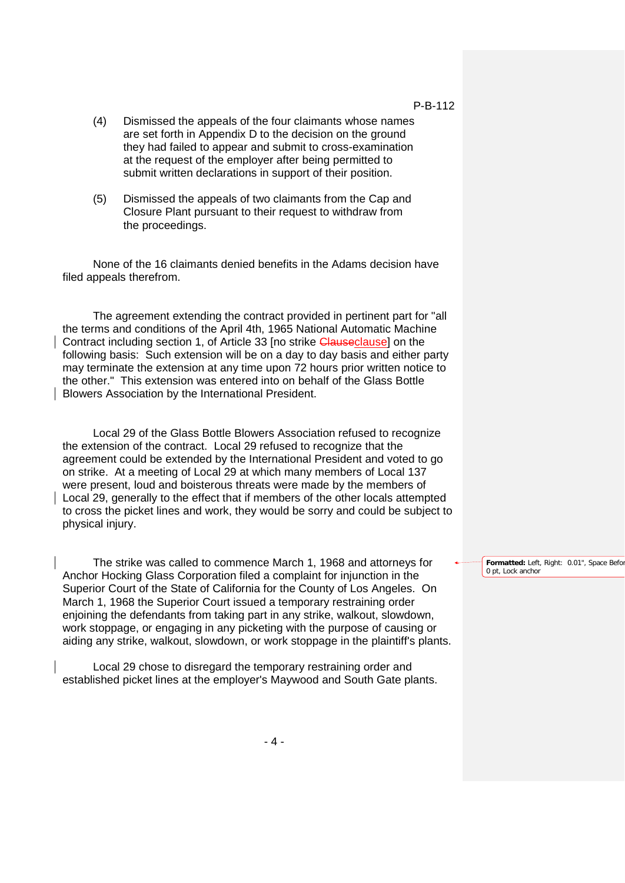- (4) Dismissed the appeals of the four claimants whose names are set forth in Appendix D to the decision on the ground they had failed to appear and submit to cross-examination at the request of the employer after being permitted to submit written declarations in support of their position.
- (5) Dismissed the appeals of two claimants from the Cap and Closure Plant pursuant to their request to withdraw from the proceedings.

None of the 16 claimants denied benefits in the Adams decision have filed appeals therefrom.

The agreement extending the contract provided in pertinent part for "all the terms and conditions of the April 4th, 1965 National Automatic Machine Contract including section 1, of Article 33 [no strike Clauseclause] on the following basis: Such extension will be on a day to day basis and either party may terminate the extension at any time upon 72 hours prior written notice to the other." This extension was entered into on behalf of the Glass Bottle Blowers Association by the International President.

Local 29 of the Glass Bottle Blowers Association refused to recognize the extension of the contract. Local 29 refused to recognize that the agreement could be extended by the International President and voted to go on strike. At a meeting of Local 29 at which many members of Local 137 were present, loud and boisterous threats were made by the members of Local 29, generally to the effect that if members of the other locals attempted to cross the picket lines and work, they would be sorry and could be subject to physical injury.

The strike was called to commence March 1, 1968 and attorneys for Anchor Hocking Glass Corporation filed a complaint for injunction in the Superior Court of the State of California for the County of Los Angeles. On March 1, 1968 the Superior Court issued a temporary restraining order enjoining the defendants from taking part in any strike, walkout, slowdown, work stoppage, or engaging in any picketing with the purpose of causing or aiding any strike, walkout, slowdown, or work stoppage in the plaintiff's plants.

Local 29 chose to disregard the temporary restraining order and established picket lines at the employer's Maywood and South Gate plants.

Formatted: Left, Right: 0.01", Space Befor 0 pt, Lock anchor

P-B-112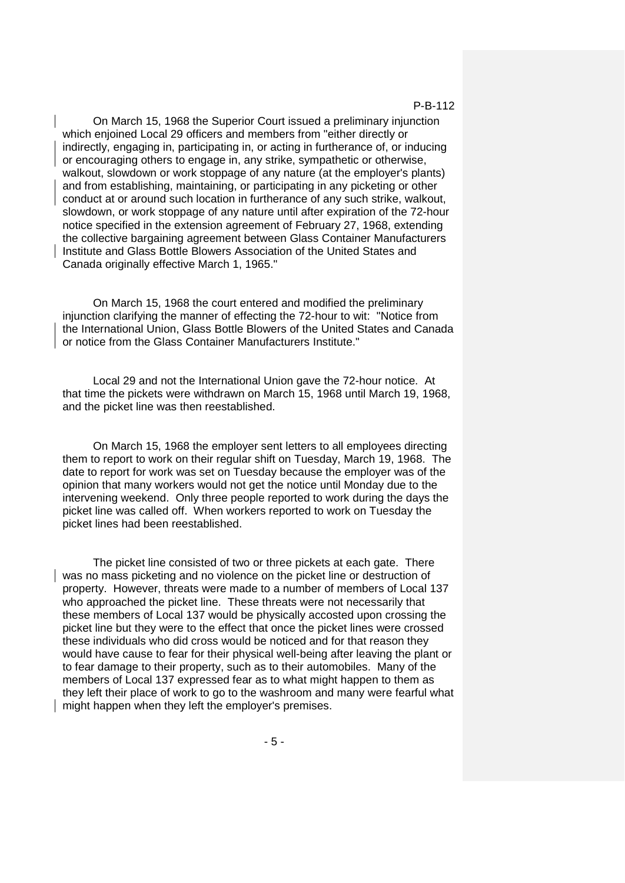On March 15, 1968 the Superior Court issued a preliminary injunction which enjoined Local 29 officers and members from "either directly or indirectly, engaging in, participating in, or acting in furtherance of, or inducing or encouraging others to engage in, any strike, sympathetic or otherwise, walkout, slowdown or work stoppage of any nature (at the employer's plants) and from establishing, maintaining, or participating in any picketing or other conduct at or around such location in furtherance of any such strike, walkout, slowdown, or work stoppage of any nature until after expiration of the 72-hour notice specified in the extension agreement of February 27, 1968, extending the collective bargaining agreement between Glass Container Manufacturers Institute and Glass Bottle Blowers Association of the United States and Canada originally effective March 1, 1965."

On March 15, 1968 the court entered and modified the preliminary injunction clarifying the manner of effecting the 72-hour to wit: "Notice from the International Union, Glass Bottle Blowers of the United States and Canada or notice from the Glass Container Manufacturers Institute."

Local 29 and not the International Union gave the 72-hour notice. At that time the pickets were withdrawn on March 15, 1968 until March 19, 1968, and the picket line was then reestablished.

On March 15, 1968 the employer sent letters to all employees directing them to report to work on their regular shift on Tuesday, March 19, 1968. The date to report for work was set on Tuesday because the employer was of the opinion that many workers would not get the notice until Monday due to the intervening weekend. Only three people reported to work during the days the picket line was called off. When workers reported to work on Tuesday the picket lines had been reestablished.

The picket line consisted of two or three pickets at each gate. There was no mass picketing and no violence on the picket line or destruction of property. However, threats were made to a number of members of Local 137 who approached the picket line. These threats were not necessarily that these members of Local 137 would be physically accosted upon crossing the picket line but they were to the effect that once the picket lines were crossed these individuals who did cross would be noticed and for that reason they would have cause to fear for their physical well-being after leaving the plant or to fear damage to their property, such as to their automobiles. Many of the members of Local 137 expressed fear as to what might happen to them as they left their place of work to go to the washroom and many were fearful what might happen when they left the employer's premises.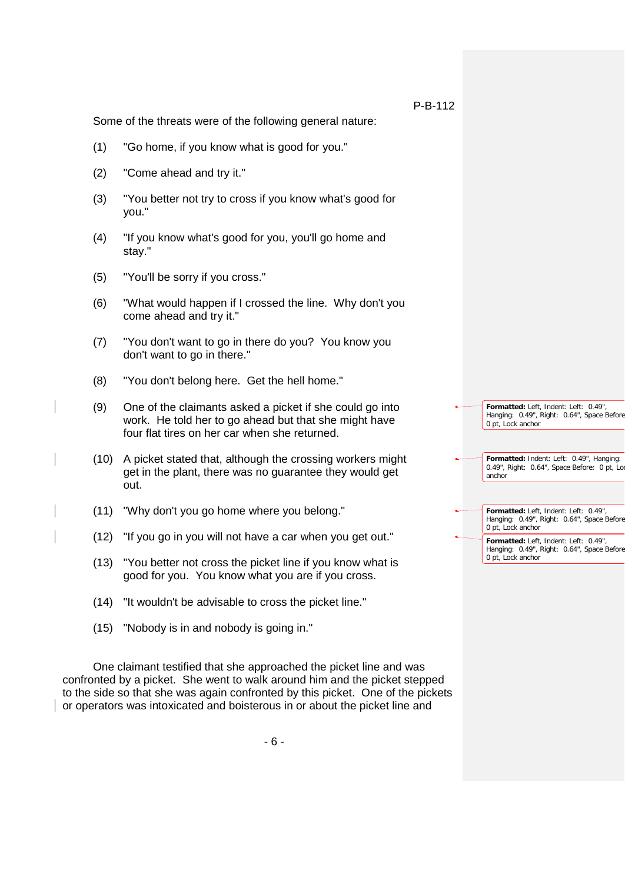Some of the threats were of the following general nature:

- (1) "Go home, if you know what is good for you."
- (2) "Come ahead and try it."
- (3) "You better not try to cross if you know what's good for you."
- (4) "If you know what's good for you, you'll go home and stay."
- (5) "You'll be sorry if you cross."
- (6) "What would happen if I crossed the line. Why don't you come ahead and try it."
- (7) "You don't want to go in there do you? You know you don't want to go in there."
- (8) "You don't belong here. Get the hell home."
- (9) One of the claimants asked a picket if she could go into work. He told her to go ahead but that she might have four flat tires on her car when she returned.
- (10) A picket stated that, although the crossing workers might get in the plant, there was no guarantee they would get out.
- (11) "Why don't you go home where you belong."
- (12) "If you go in you will not have a car when you get out."
- (13) "You better not cross the picket line if you know what is good for you. You know what you are if you cross.
- (14) "It wouldn't be advisable to cross the picket line."
- (15) "Nobody is in and nobody is going in."

One claimant testified that she approached the picket line and was confronted by a picket. She went to walk around him and the picket stepped to the side so that she was again confronted by this picket. One of the pickets or operators was intoxicated and boisterous in or about the picket line and

| $\overline{\phantom{a}}$ Formatted: Left, Indent: Left: 0.49", |
|----------------------------------------------------------------|
| Hanging: 0.49", Right: 0.64", Space Before                     |
| 0 pt, Lock anchor                                              |

**Formatted:** Indent: Left: 0.49", Hanging: 0.49", Right: 0.64", Space Before: 0 pt, Lo anchor

**Formatted:** Left, Indent: Left: 0.49", Hanging: 0.49", Right: 0.64", Space Before 0 pt, Lock anchor

**Formatted:** Left, Indent: Left: 0.49", Hanging: 0.49", Right: 0.64", Space Before 0 pt, Lock anchor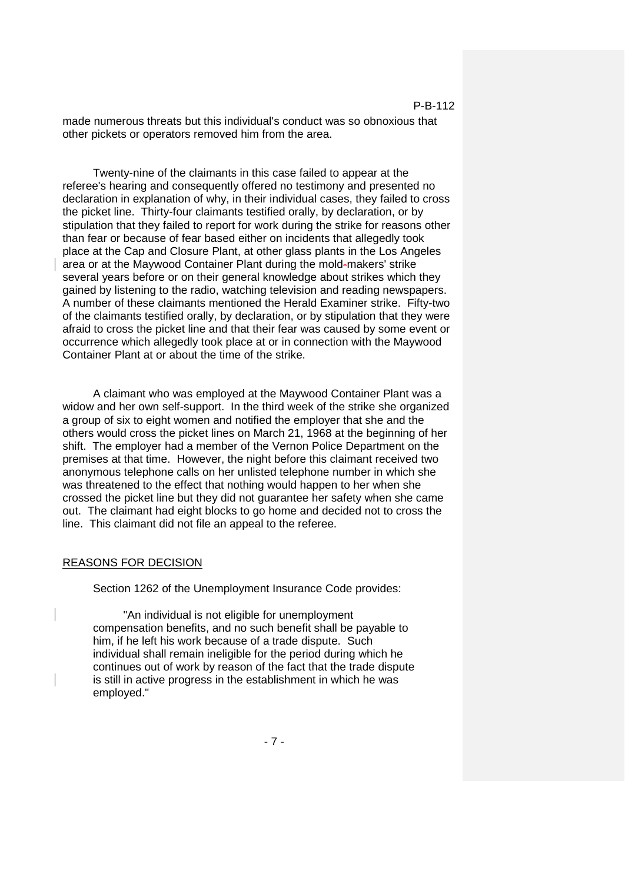made numerous threats but this individual's conduct was so obnoxious that other pickets or operators removed him from the area.

Twenty-nine of the claimants in this case failed to appear at the referee's hearing and consequently offered no testimony and presented no declaration in explanation of why, in their individual cases, they failed to cross the picket line. Thirty-four claimants testified orally, by declaration, or by stipulation that they failed to report for work during the strike for reasons other than fear or because of fear based either on incidents that allegedly took place at the Cap and Closure Plant, at other glass plants in the Los Angeles area or at the Maywood Container Plant during the mold-makers' strike several years before or on their general knowledge about strikes which they gained by listening to the radio, watching television and reading newspapers. A number of these claimants mentioned the Herald Examiner strike. Fifty-two of the claimants testified orally, by declaration, or by stipulation that they were afraid to cross the picket line and that their fear was caused by some event or occurrence which allegedly took place at or in connection with the Maywood Container Plant at or about the time of the strike.

A claimant who was employed at the Maywood Container Plant was a widow and her own self-support. In the third week of the strike she organized a group of six to eight women and notified the employer that she and the others would cross the picket lines on March 21, 1968 at the beginning of her shift. The employer had a member of the Vernon Police Department on the premises at that time. However, the night before this claimant received two anonymous telephone calls on her unlisted telephone number in which she was threatened to the effect that nothing would happen to her when she crossed the picket line but they did not guarantee her safety when she came out. The claimant had eight blocks to go home and decided not to cross the line. This claimant did not file an appeal to the referee.

## REASONS FOR DECISION

Section 1262 of the Unemployment Insurance Code provides:

"An individual is not eligible for unemployment compensation benefits, and no such benefit shall be payable to him, if he left his work because of a trade dispute. Such individual shall remain ineligible for the period during which he continues out of work by reason of the fact that the trade dispute is still in active progress in the establishment in which he was employed."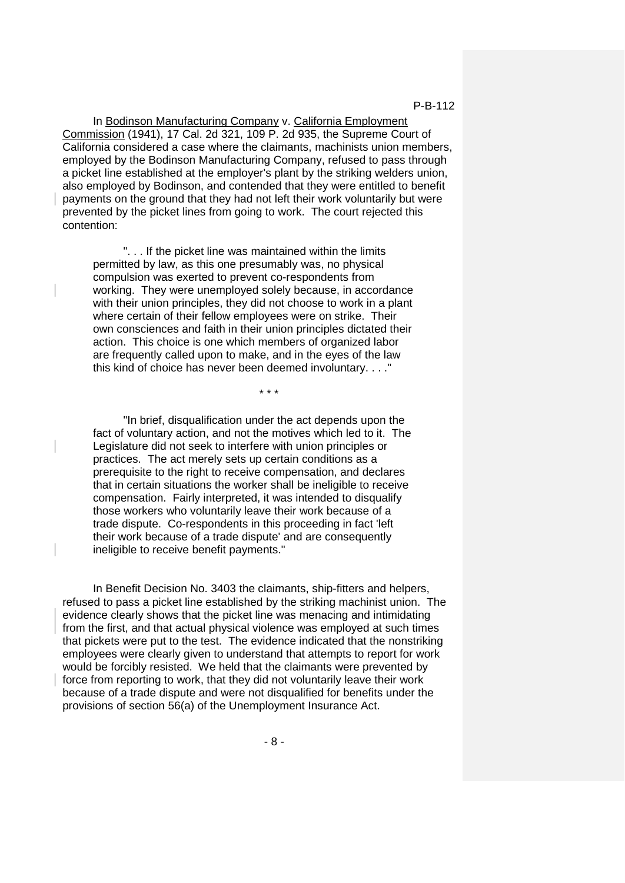In Bodinson Manufacturing Company v. California Employment Commission (1941), 17 Cal. 2d 321, 109 P. 2d 935, the Supreme Court of California considered a case where the claimants, machinists union members, employed by the Bodinson Manufacturing Company, refused to pass through a picket line established at the employer's plant by the striking welders union, also employed by Bodinson, and contended that they were entitled to benefit payments on the ground that they had not left their work voluntarily but were prevented by the picket lines from going to work. The court rejected this contention:

". . . If the picket line was maintained within the limits permitted by law, as this one presumably was, no physical compulsion was exerted to prevent co-respondents from working. They were unemployed solely because, in accordance with their union principles, they did not choose to work in a plant where certain of their fellow employees were on strike. Their own consciences and faith in their union principles dictated their action. This choice is one which members of organized labor are frequently called upon to make, and in the eyes of the law this kind of choice has never been deemed involuntary. . . ."

\* \* \*

"In brief, disqualification under the act depends upon the fact of voluntary action, and not the motives which led to it. The Legislature did not seek to interfere with union principles or practices. The act merely sets up certain conditions as a prerequisite to the right to receive compensation, and declares that in certain situations the worker shall be ineligible to receive compensation. Fairly interpreted, it was intended to disqualify those workers who voluntarily leave their work because of a trade dispute. Co-respondents in this proceeding in fact 'left their work because of a trade dispute' and are consequently ineligible to receive benefit payments."

In Benefit Decision No. 3403 the claimants, ship-fitters and helpers, refused to pass a picket line established by the striking machinist union. The evidence clearly shows that the picket line was menacing and intimidating from the first, and that actual physical violence was employed at such times that pickets were put to the test. The evidence indicated that the nonstriking employees were clearly given to understand that attempts to report for work would be forcibly resisted. We held that the claimants were prevented by force from reporting to work, that they did not voluntarily leave their work because of a trade dispute and were not disqualified for benefits under the provisions of section 56(a) of the Unemployment Insurance Act.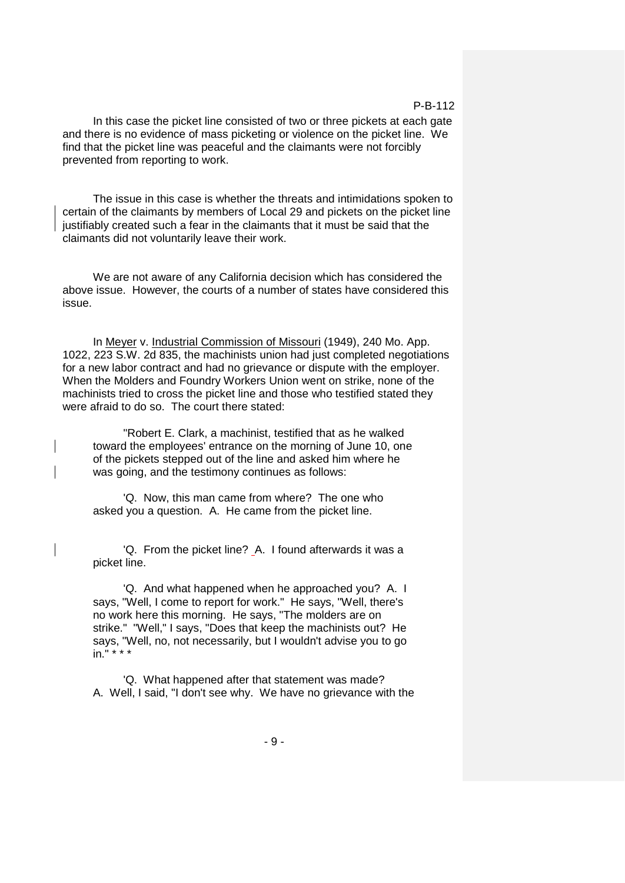In this case the picket line consisted of two or three pickets at each gate and there is no evidence of mass picketing or violence on the picket line. We find that the picket line was peaceful and the claimants were not forcibly prevented from reporting to work.

The issue in this case is whether the threats and intimidations spoken to certain of the claimants by members of Local 29 and pickets on the picket line justifiably created such a fear in the claimants that it must be said that the claimants did not voluntarily leave their work.

We are not aware of any California decision which has considered the above issue. However, the courts of a number of states have considered this issue.

In Meyer v. Industrial Commission of Missouri (1949), 240 Mo. App. 1022, 223 S.W. 2d 835, the machinists union had just completed negotiations for a new labor contract and had no grievance or dispute with the employer. When the Molders and Foundry Workers Union went on strike, none of the machinists tried to cross the picket line and those who testified stated they were afraid to do so. The court there stated:

"Robert E. Clark, a machinist, testified that as he walked toward the employees' entrance on the morning of June 10, one of the pickets stepped out of the line and asked him where he was going, and the testimony continues as follows:

'Q. Now, this man came from where? The one who asked you a question. A. He came from the picket line.

'Q. From the picket line? A. I found afterwards it was a picket line.

'Q. And what happened when he approached you? A. I says, "Well, I come to report for work." He says, "Well, there's no work here this morning. He says, "The molders are on strike." "Well," I says, "Does that keep the machinists out? He says, "Well, no, not necessarily, but I wouldn't advise you to go in." \* \* \*

'Q. What happened after that statement was made? A. Well, I said, "I don't see why. We have no grievance with the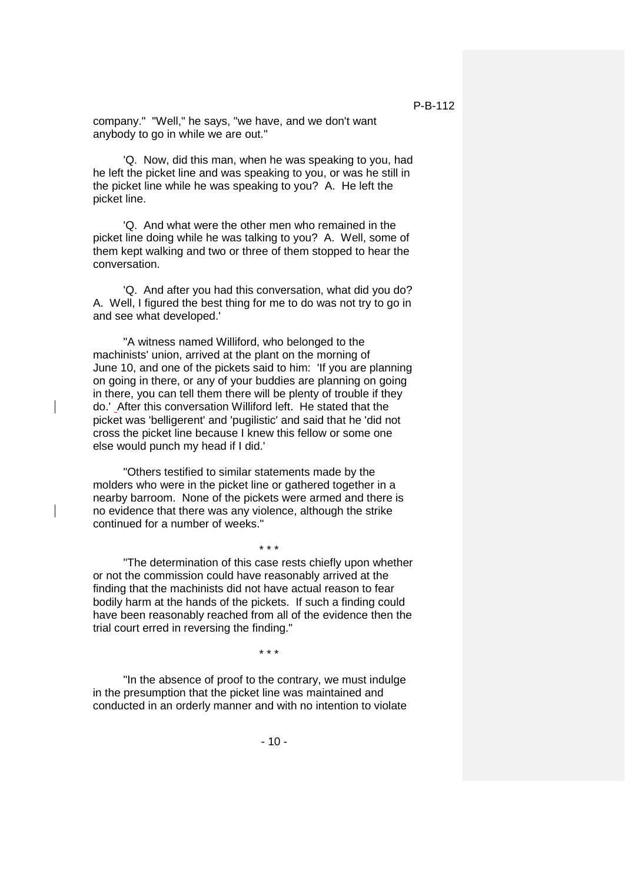company." "Well," he says, "we have, and we don't want anybody to go in while we are out."

'Q. Now, did this man, when he was speaking to you, had he left the picket line and was speaking to you, or was he still in the picket line while he was speaking to you? A. He left the picket line.

'Q. And what were the other men who remained in the picket line doing while he was talking to you? A. Well, some of them kept walking and two or three of them stopped to hear the conversation.

'Q. And after you had this conversation, what did you do? A. Well, I figured the best thing for me to do was not try to go in and see what developed.'

"A witness named Williford, who belonged to the machinists' union, arrived at the plant on the morning of June 10, and one of the pickets said to him: 'If you are planning on going in there, or any of your buddies are planning on going in there, you can tell them there will be plenty of trouble if they do.' After this conversation Williford left. He stated that the picket was 'belligerent' and 'pugilistic' and said that he 'did not cross the picket line because I knew this fellow or some one else would punch my head if I did.'

"Others testified to similar statements made by the molders who were in the picket line or gathered together in a nearby barroom. None of the pickets were armed and there is no evidence that there was any violence, although the strike continued for a number of weeks."

"The determination of this case rests chiefly upon whether or not the commission could have reasonably arrived at the finding that the machinists did not have actual reason to fear bodily harm at the hands of the pickets. If such a finding could have been reasonably reached from all of the evidence then the trial court erred in reversing the finding."

\* \* \*

\* \* \*

"In the absence of proof to the contrary, we must indulge in the presumption that the picket line was maintained and conducted in an orderly manner and with no intention to violate

 $-10-$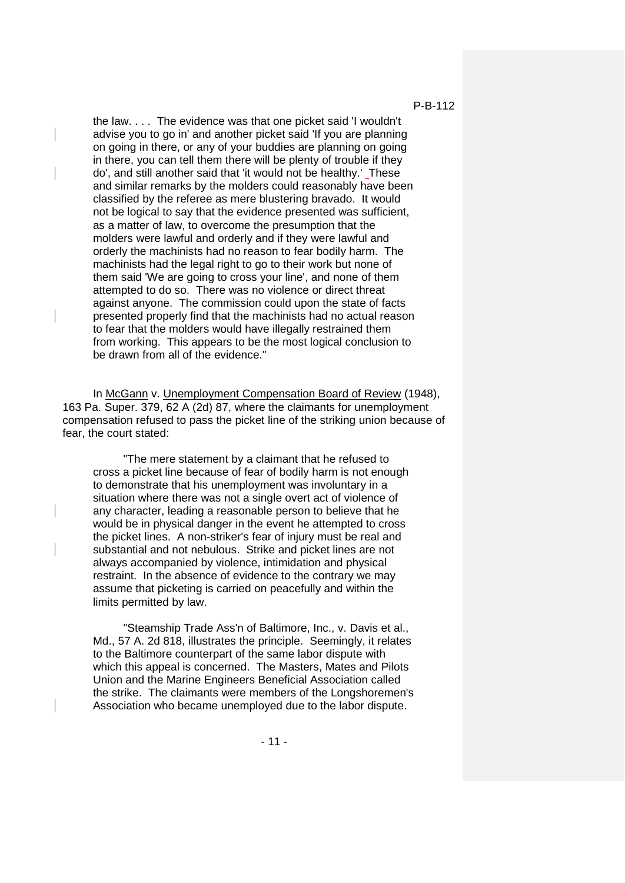the law. . . . The evidence was that one picket said 'I wouldn't advise you to go in' and another picket said 'If you are planning on going in there, or any of your buddies are planning on going in there, you can tell them there will be plenty of trouble if they do', and still another said that 'it would not be healthy.' These and similar remarks by the molders could reasonably have been classified by the referee as mere blustering bravado. It would not be logical to say that the evidence presented was sufficient, as a matter of law, to overcome the presumption that the molders were lawful and orderly and if they were lawful and orderly the machinists had no reason to fear bodily harm. The machinists had the legal right to go to their work but none of them said 'We are going to cross your line', and none of them attempted to do so. There was no violence or direct threat against anyone. The commission could upon the state of facts presented properly find that the machinists had no actual reason to fear that the molders would have illegally restrained them from working. This appears to be the most logical conclusion to be drawn from all of the evidence."

In McGann v. Unemployment Compensation Board of Review (1948), 163 Pa. Super. 379, 62 A (2d) 87, where the claimants for unemployment compensation refused to pass the picket line of the striking union because of fear, the court stated:

"The mere statement by a claimant that he refused to cross a picket line because of fear of bodily harm is not enough to demonstrate that his unemployment was involuntary in a situation where there was not a single overt act of violence of any character, leading a reasonable person to believe that he would be in physical danger in the event he attempted to cross the picket lines. A non-striker's fear of injury must be real and substantial and not nebulous. Strike and picket lines are not always accompanied by violence, intimidation and physical restraint. In the absence of evidence to the contrary we may assume that picketing is carried on peacefully and within the limits permitted by law.

"Steamship Trade Ass'n of Baltimore, Inc., v. Davis et al., Md., 57 A. 2d 818, illustrates the principle. Seemingly, it relates to the Baltimore counterpart of the same labor dispute with which this appeal is concerned. The Masters, Mates and Pilots Union and the Marine Engineers Beneficial Association called the strike. The claimants were members of the Longshoremen's Association who became unemployed due to the labor dispute.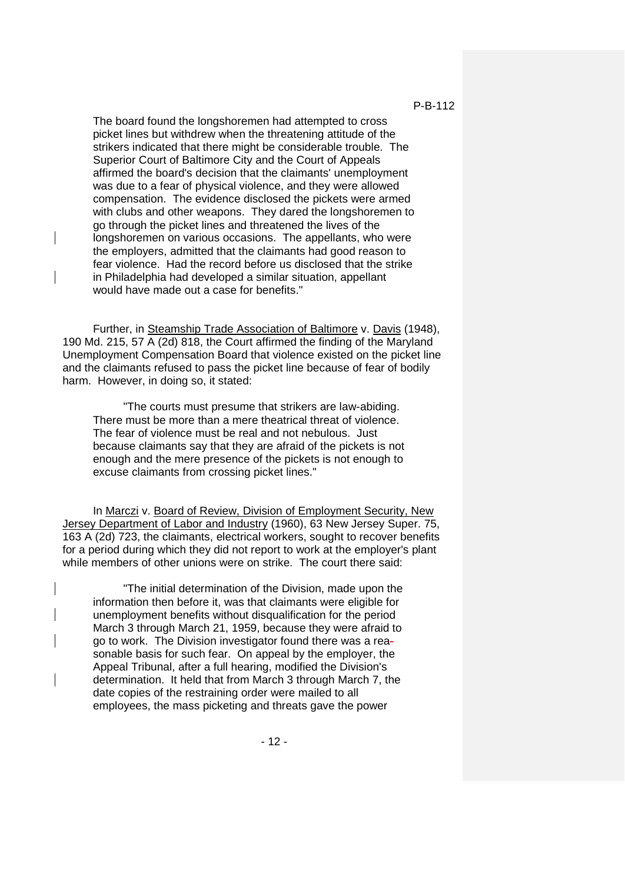The board found the longshoremen had attempted to cross picket lines but withdrew when the threatening attitude of the strikers indicated that there might be considerable trouble. The Superior Court of Baltimore City and the Court of Appeals affirmed the board's decision that the claimants' unemployment was due to a fear of physical violence, and they were allowed compensation. The evidence disclosed the pickets were armed with clubs and other weapons. They dared the longshoremen to go through the picket lines and threatened the lives of the longshoremen on various occasions. The appellants, who were the employers, admitted that the claimants had good reason to fear violence. Had the record before us disclosed that the strike in Philadelphia had developed a similar situation, appellant would have made out a case for benefits."

Further, in Steamship Trade Association of Baltimore v. Davis (1948), 190 Md. 215, 57 A (2d) 818, the Court affirmed the finding of the Maryland Unemployment Compensation Board that violence existed on the picket line and the claimants refused to pass the picket line because of fear of bodily harm. However, in doing so, it stated:

"The courts must presume that strikers are law-abiding. There must be more than a mere theatrical threat of violence. The fear of violence must be real and not nebulous. Just because claimants say that they are afraid of the pickets is not enough and the mere presence of the pickets is not enough to excuse claimants from crossing picket lines."

In Marczi v. Board of Review, Division of Employment Security, New Jersey Department of Labor and Industry (1960), 63 New Jersey Super. 75, 163 A (2d) 723, the claimants, electrical workers, sought to recover benefits for a period during which they did not report to work at the employer's plant while members of other unions were on strike. The court there said:

"The initial determination of the Division, made upon the information then before it, was that claimants were eligible for unemployment benefits without disqualification for the period March 3 through March 21, 1959, because they were afraid to go to work. The Division investigator found there was a reasonable basis for such fear. On appeal by the employer, the Appeal Tribunal, after a full hearing, modified the Division's determination. It held that from March 3 through March 7, the date copies of the restraining order were mailed to all employees, the mass picketing and threats gave the power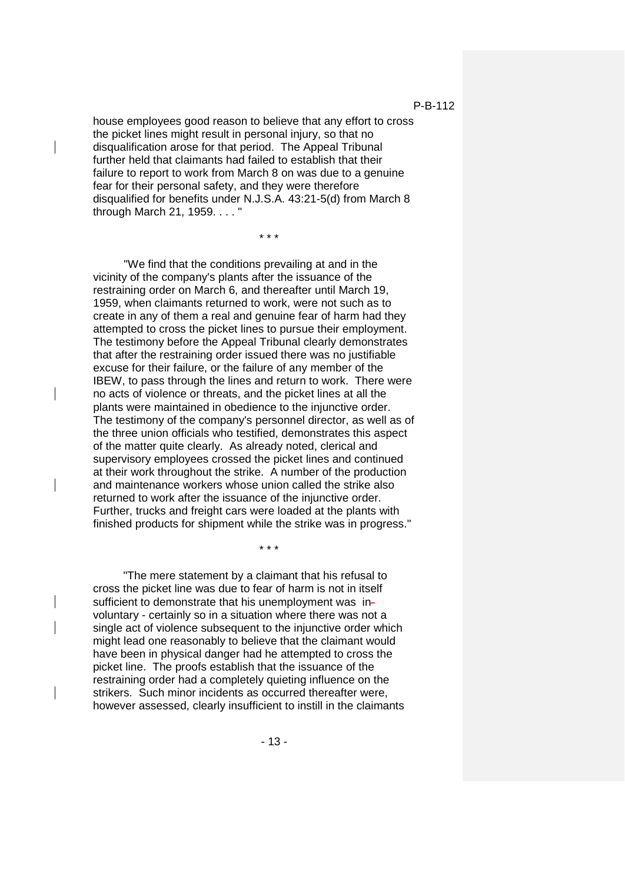house employees good reason to believe that any effort to cross the picket lines might result in personal injury, so that no disqualification arose for that period. The Appeal Tribunal further held that claimants had failed to establish that their failure to report to work from March 8 on was due to a genuine fear for their personal safety, and they were therefore disqualified for benefits under N.J.S.A. 43:21-5(d) from March 8 through March 21, 1959. . . . "

\* \* \*

"We find that the conditions prevailing at and in the vicinity of the company's plants after the issuance of the restraining order on March 6, and thereafter until March 19, 1959, when claimants returned to work, were not such as to create in any of them a real and genuine fear of harm had they attempted to cross the picket lines to pursue their employment. The testimony before the Appeal Tribunal clearly demonstrates that after the restraining order issued there was no justifiable excuse for their failure, or the failure of any member of the IBEW, to pass through the lines and return to work. There were no acts of violence or threats, and the picket lines at all the plants were maintained in obedience to the injunctive order. The testimony of the company's personnel director, as well as of the three union officials who testified, demonstrates this aspect of the matter quite clearly. As already noted, clerical and supervisory employees crossed the picket lines and continued at their work throughout the strike. A number of the production and maintenance workers whose union called the strike also returned to work after the issuance of the injunctive order. Further, trucks and freight cars were loaded at the plants with finished products for shipment while the strike was in progress."

\* \* \*

"The mere statement by a claimant that his refusal to cross the picket line was due to fear of harm is not in itself sufficient to demonstrate that his unemployment was involuntary - certainly so in a situation where there was not a single act of violence subsequent to the injunctive order which might lead one reasonably to believe that the claimant would have been in physical danger had he attempted to cross the picket line. The proofs establish that the issuance of the restraining order had a completely quieting influence on the strikers. Such minor incidents as occurred thereafter were, however assessed, clearly insufficient to instill in the claimants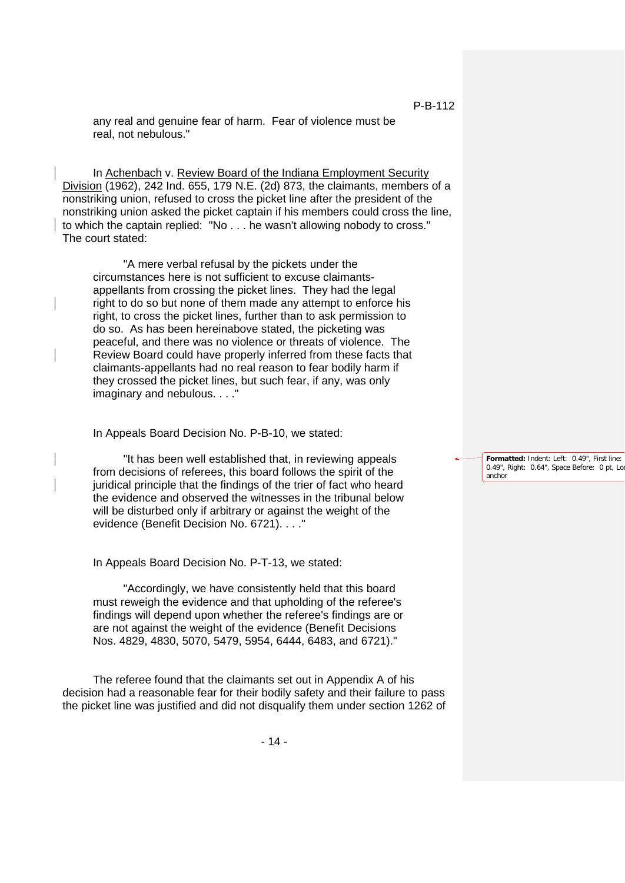any real and genuine fear of harm. Fear of violence must be real, not nebulous."

In Achenbach v. Review Board of the Indiana Employment Security Division (1962), 242 Ind. 655, 179 N.E. (2d) 873, the claimants, members of a nonstriking union, refused to cross the picket line after the president of the nonstriking union asked the picket captain if his members could cross the line, to which the captain replied: "No . . . he wasn't allowing nobody to cross." The court stated:

"A mere verbal refusal by the pickets under the circumstances here is not sufficient to excuse claimantsappellants from crossing the picket lines. They had the legal right to do so but none of them made any attempt to enforce his right, to cross the picket lines, further than to ask permission to do so. As has been hereinabove stated, the picketing was peaceful, and there was no violence or threats of violence. The Review Board could have properly inferred from these facts that claimants-appellants had no real reason to fear bodily harm if they crossed the picket lines, but such fear, if any, was only imaginary and nebulous. . . ."

In Appeals Board Decision No. P-B-10, we stated:

"It has been well established that, in reviewing appeals from decisions of referees, this board follows the spirit of the juridical principle that the findings of the trier of fact who heard the evidence and observed the witnesses in the tribunal below will be disturbed only if arbitrary or against the weight of the evidence (Benefit Decision No. 6721). . . ."

In Appeals Board Decision No. P-T-13, we stated:

"Accordingly, we have consistently held that this board must reweigh the evidence and that upholding of the referee's findings will depend upon whether the referee's findings are or are not against the weight of the evidence (Benefit Decisions Nos. 4829, 4830, 5070, 5479, 5954, 6444, 6483, and 6721)."

The referee found that the claimants set out in Appendix A of his decision had a reasonable fear for their bodily safety and their failure to pass the picket line was justified and did not disqualify them under section 1262 of

P-B-112

**Formatted:** Indent: Left: 0.49", First line: 0.49", Right: 0.64", Space Before: 0 pt, Lo anchor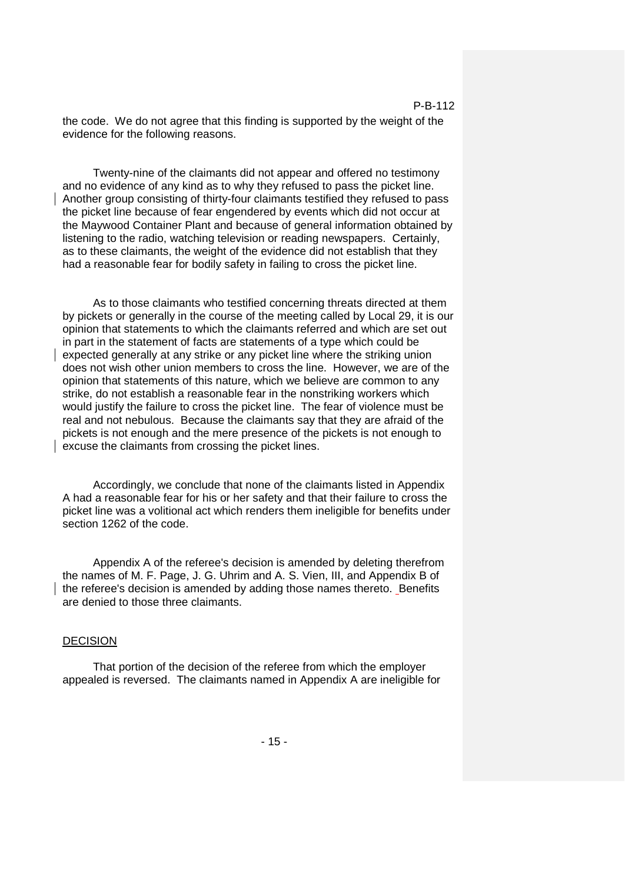the code. We do not agree that this finding is supported by the weight of the evidence for the following reasons.

Twenty-nine of the claimants did not appear and offered no testimony and no evidence of any kind as to why they refused to pass the picket line. Another group consisting of thirty-four claimants testified they refused to pass the picket line because of fear engendered by events which did not occur at the Maywood Container Plant and because of general information obtained by listening to the radio, watching television or reading newspapers. Certainly, as to these claimants, the weight of the evidence did not establish that they had a reasonable fear for bodily safety in failing to cross the picket line.

As to those claimants who testified concerning threats directed at them by pickets or generally in the course of the meeting called by Local 29, it is our opinion that statements to which the claimants referred and which are set out in part in the statement of facts are statements of a type which could be expected generally at any strike or any picket line where the striking union does not wish other union members to cross the line. However, we are of the opinion that statements of this nature, which we believe are common to any strike, do not establish a reasonable fear in the nonstriking workers which would justify the failure to cross the picket line. The fear of violence must be real and not nebulous. Because the claimants say that they are afraid of the pickets is not enough and the mere presence of the pickets is not enough to excuse the claimants from crossing the picket lines.

Accordingly, we conclude that none of the claimants listed in Appendix A had a reasonable fear for his or her safety and that their failure to cross the picket line was a volitional act which renders them ineligible for benefits under section 1262 of the code.

Appendix A of the referee's decision is amended by deleting therefrom the names of M. F. Page, J. G. Uhrim and A. S. Vien, III, and Appendix B of the referee's decision is amended by adding those names thereto. Benefits are denied to those three claimants.

## DECISION

That portion of the decision of the referee from which the employer appealed is reversed. The claimants named in Appendix A are ineligible for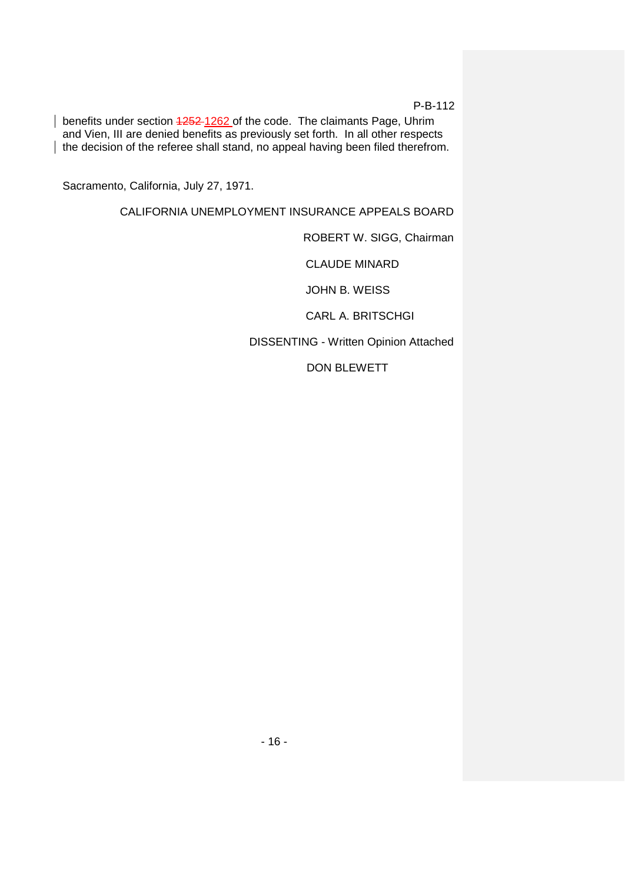benefits under section 4252-1262 of the code. The claimants Page, Uhrim and Vien, III are denied benefits as previously set forth. In all other respects the decision of the referee shall stand, no appeal having been filed therefrom.

Sacramento, California, July 27, 1971.

CALIFORNIA UNEMPLOYMENT INSURANCE APPEALS BOARD

ROBERT W. SIGG, Chairman

CLAUDE MINARD

JOHN B. WEISS

CARL A. BRITSCHGI

DISSENTING - Written Opinion Attached

DON BLEWETT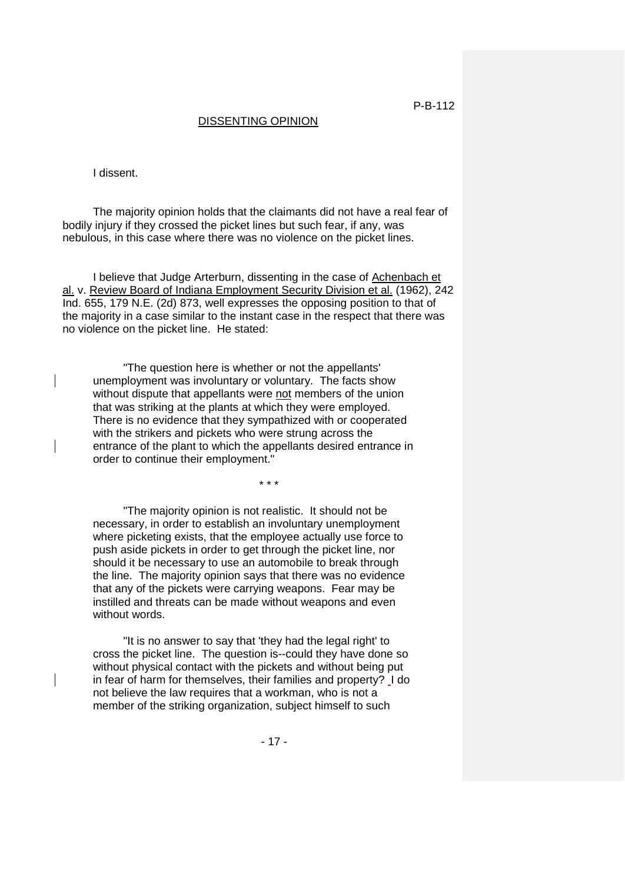## DISSENTING OPINION

I dissent.

The majority opinion holds that the claimants did not have a real fear of bodily injury if they crossed the picket lines but such fear, if any, was nebulous, in this case where there was no violence on the picket lines.

I believe that Judge Arterburn, dissenting in the case of Achenbach et al. v. Review Board of Indiana Employment Security Division et al. (1962), 242 Ind. 655, 179 N.E. (2d) 873, well expresses the opposing position to that of the majority in a case similar to the instant case in the respect that there was no violence on the picket line. He stated:

"The question here is whether or not the appellants' unemployment was involuntary or voluntary. The facts show without dispute that appellants were not members of the union that was striking at the plants at which they were employed. There is no evidence that they sympathized with or cooperated with the strikers and pickets who were strung across the entrance of the plant to which the appellants desired entrance in order to continue their employment."

\* \* \*

"The majority opinion is not realistic. It should not be necessary, in order to establish an involuntary unemployment where picketing exists, that the employee actually use force to push aside pickets in order to get through the picket line, nor should it be necessary to use an automobile to break through the line. The majority opinion says that there was no evidence that any of the pickets were carrying weapons. Fear may be instilled and threats can be made without weapons and even without words.

"It is no answer to say that 'they had the legal right' to cross the picket line. The question is--could they have done so without physical contact with the pickets and without being put in fear of harm for themselves, their families and property? I do not believe the law requires that a workman, who is not a member of the striking organization, subject himself to such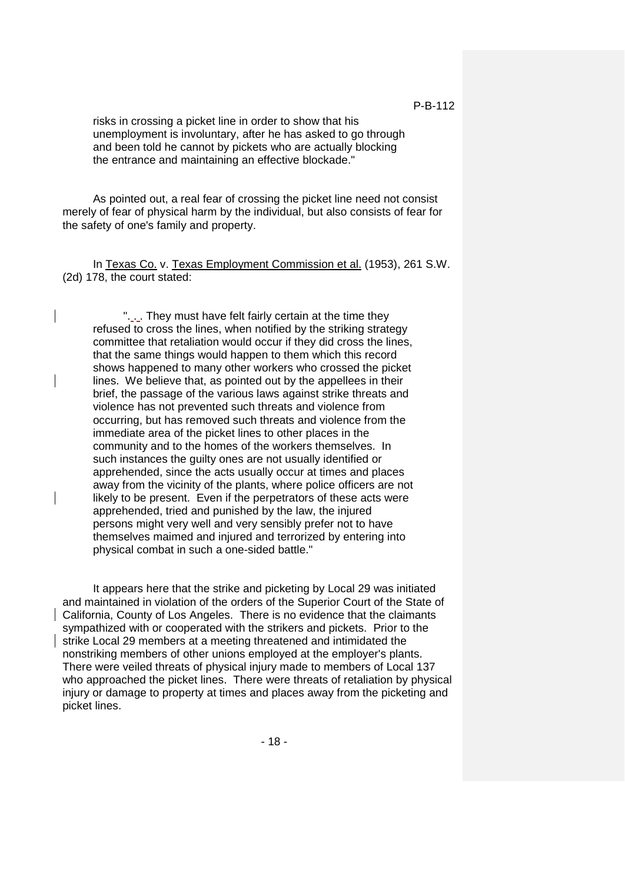risks in crossing a picket line in order to show that his unemployment is involuntary, after he has asked to go through and been told he cannot by pickets who are actually blocking the entrance and maintaining an effective blockade."

As pointed out, a real fear of crossing the picket line need not consist merely of fear of physical harm by the individual, but also consists of fear for the safety of one's family and property.

In Texas Co. v. Texas Employment Commission et al. (1953), 261 S.W. (2d) 178, the court stated:

". . . They must have felt fairly certain at the time they refused to cross the lines, when notified by the striking strategy committee that retaliation would occur if they did cross the lines, that the same things would happen to them which this record shows happened to many other workers who crossed the picket lines. We believe that, as pointed out by the appellees in their brief, the passage of the various laws against strike threats and violence has not prevented such threats and violence from occurring, but has removed such threats and violence from the immediate area of the picket lines to other places in the community and to the homes of the workers themselves. In such instances the guilty ones are not usually identified or apprehended, since the acts usually occur at times and places away from the vicinity of the plants, where police officers are not likely to be present. Even if the perpetrators of these acts were apprehended, tried and punished by the law, the injured persons might very well and very sensibly prefer not to have themselves maimed and injured and terrorized by entering into physical combat in such a one-sided battle."

It appears here that the strike and picketing by Local 29 was initiated and maintained in violation of the orders of the Superior Court of the State of California, County of Los Angeles. There is no evidence that the claimants sympathized with or cooperated with the strikers and pickets. Prior to the strike Local 29 members at a meeting threatened and intimidated the nonstriking members of other unions employed at the employer's plants. There were veiled threats of physical injury made to members of Local 137 who approached the picket lines. There were threats of retaliation by physical injury or damage to property at times and places away from the picketing and picket lines.